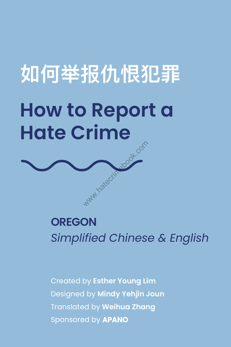# **如何举报仇恨犯罪 How to Report a Hate Crime** www.hatecrim.com.com

**OREGON** *Simplified Chinese & English*

Created by **Esther Young Lim** Designed by **Mindy Yehjin Joun** Translated by **Weihua Zhang** Sponsored by **APANO**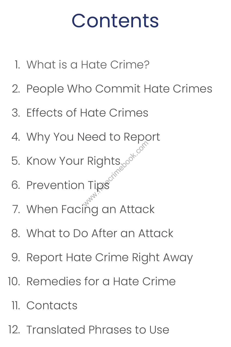# Contents

- 1. What is a Hate Crime?
- 2. People Who Commit Hate Crimes
- 3. Effects of Hate Crimes
- 4. Why You Need to Report
- 5. Know Your Rights Rights<sub>pook.com</sub>
- 6. Prevention Tips
- 7. When Facing an Attack
- 8. What to Do After an Attack
- 9. Report Hate Crime Right Away
- 10. Remedies for a Hate Crime
	- 11. Contacts
- 12. Translated Phrases to Use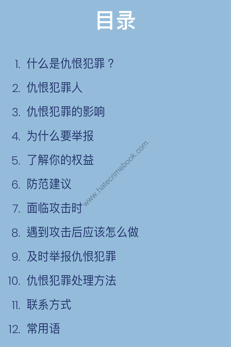

- 1. 什么是仇恨犯罪?
- 2. 仇恨犯罪人
- 3. 仇恨犯罪的影响
- 4. 为什么要举报
- 5. 了解你的权益 www.hatecrimebook.com
- 6. 防范建议
- 7. 面临攻击时
- 8. 遇到攻击后应该怎么做
- 9. 及时举报仇恨犯罪
- 10. 仇恨犯罪处理方法
	- 11. 联系方式
- 12. 常用语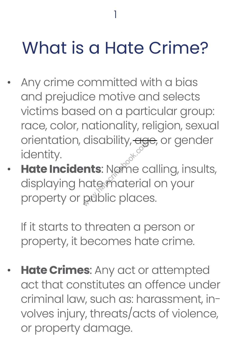### What is a Hate Crime?

1

- Any crime committed with a bias and prejudice motive and selects victims based on a particular group: race, color, nationality, religion, sexual orientation, disability, age, or gender identity.
- **Hate Incidents: Name calling, insults,** displaying hate material on your onentation, alsability, alge,<br>identity.<br>**Hate Incidents**: Name call<br>displaying hate material o<br>property or public places.

If it starts to threaten a person or property, it becomes hate crime.

• **Hate Crimes**: Any act or attempted act that constitutes an offence under criminal law, such as: harassment, involves injury, threats/acts of violence, or property damage.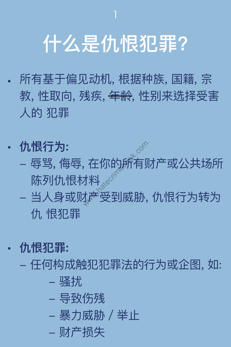# 什么是仇恨犯罪?

- 所有基于偏见动机, 根据种族, 国籍, 宗 教, 性取向, 残疾, <del>年龄</del>, 性别来选择受害 人的 犯罪
- **仇恨行为:**
	- 辱骂, 侮辱, 在你的所有财产或公共场所 陈列仇恨材料 **仇恨行为:**<br>– 辱骂, 侮辱, 在你的所有财产或公共场所<br> 陈列仇恨材料<sub>。</sub>。<sup>、、</sup><br>– 当人身或财产受到威胁, 仇恨行为转为
	- 仇 恨犯罪
- **仇恨犯罪:**
	- 任何构成触犯犯罪法的行为或企图, 如:
		- 骚扰
		- 导致伤残
		- 暴力威胁/举止
		- 财产损失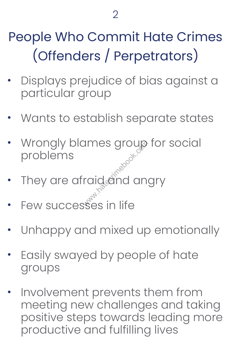### People Who Commit Hate Crimes (Offenders / Perpetrators)

- Displays prejudice of bias against a particular group
- Wants to establish separate states
- Wrongly blames group for social problems ames group<br>raid and an<br>ses in life
- They are afraid and angry
- Few successes in life
- Unhappy and mixed up emotionally
- Easily swayed by people of hate groups
- Involvement prevents them from meeting new challenges and taking positive steps towards leading more productive and fulfilling lives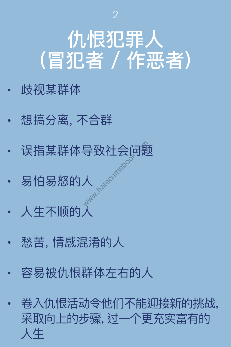# 仇恨犯罪人 (冒犯者 / 作恶者)

- 歧视某群体
- 想搞分离, 不合群
- 误指某群体导致社会问题<br>易怕易怒的人<sub>、xx</sub>ex<sup>xx®oo</sup><br>..---.\*<sup>\*\*\*\*\*\*</sup>
- 易怕易怒的人
- 人生不顺的人
- 愁苦, 情感混淆的人
- 容易被仇恨群体左右的人
- 卷入仇恨活动令他们不能迎接新的挑战, 采取向上的步骤, 过一个更充实富有的 人生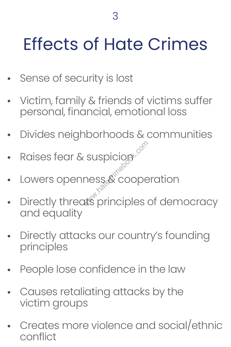## Effects of Hate Crimes

- Sense of security is lost
- Victim, family & friends of victims suffer personal, financial, emotional loss
- Divides neighborhoods & communities
- Raises fear & suspicion
- Lowers openness & cooperation wall suspicioge<sup>.com</sup><br>mess.compe<br>and principles
- Directly threats principles of democracy and equality
- Directly attacks our country's founding principles
- People lose confidence in the law
- Causes retaliating attacks by the victim groups
- Creates more violence and social/ethnic conflict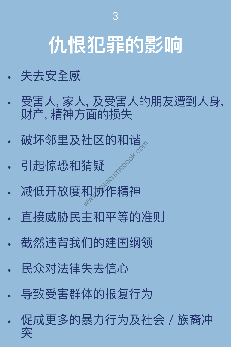# **仇恨犯罪的影响**

- 失去安全感
- 受害人, 家人, 及受害人的朋友遭到人身, 财产, 精神方面的损失
- 破坏邻里及社区的和谐
- 引起惊恐和猜疑
- 减低开放度和协作精神 出区的和<sub>妈。</sub><br>猜疑<sub>《《《《</sub>》<br>和<mark>姚作精神</mark>
- 直接威胁民主和平等的准则
- 截然违背我们的建国纲领
- 民众对法律失去信心
- 导致受害群体的报复行为
- 促成更多的暴力行为及社会/族裔冲 突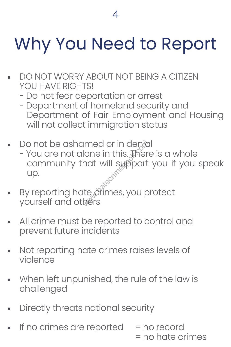# Why You Need to Report

- DO NOT WORRY ABOUT NOT BEING A CITIZEN. YOU HAVE RIGHTS!
	- Do not fear deportation or arrest
	- Department of homeland security and Department of Fair Employment and Housing will not collect immigration status
- Do not be ashamed or in denial - You are not alone in this. There is a whole community that will support you if you speak up. imed or in denice<br>lone in this. Ther<br>hat will support<br>te crimes, you p<br>hers
- By reporting hate crimes, you protect yourself and others
- All crime must be reported to control and prevent future incidents
- Not reporting hate crimes raises levels of violence
- When left unpunished, the rule of the law is challenged
- Directly threats national security
- If no crimes are reported  $=$  no record
	- = no hate crimes

 $\varDelta$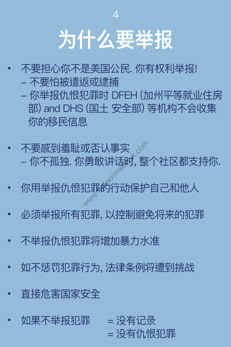# **为什么要举报**

- 不要担心你不是美国公民. 你有权利举报! - 不要怕被遣返或逮捕
	- 你举报仇恨犯罪时 DFEH (加州平等就业住房 部) and DHS (国土 安全部) 等机构不会收集 你的移民信息
- 不要感到羞耻或否认事实。 - 你不孤独. 你勇敢讲话时, 整个社区都支持你. 或否认事实<sub>\_\_⊙</sub>^<br>!勇敢讲话时, 整<br>.com<br>.co<sup>m^</sup>
- 你用举报仇恨犯罪的行动保护自己和他人
- 必须举报所有犯罪, 以控制避免将来的犯罪
- 不举报仇恨犯罪将增加暴力水准
- 如不惩罚犯罪行为, 法律条例将遭到挑战
- 直接危害国家安全
- 如果不举报犯罪 = 没有记录 = 没有仇恨犯罪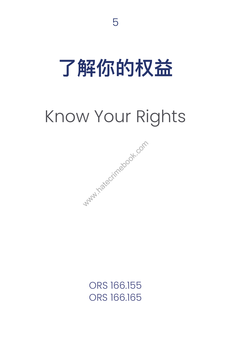# **了解你的权益**

### Know Your Rights



ORS 166.155 ORS 166.165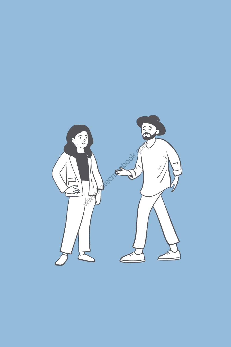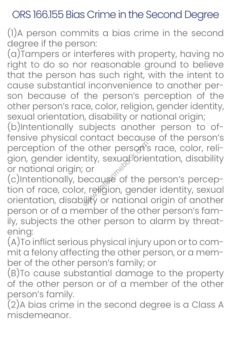#### ORS 166.155 Bias Crime in the Second Degree

(1)A person commits a bias crime in the second degree if the person:

(a)Tampers or interferes with property, having no right to do so nor reasonable ground to believe that the person has such right, with the intent to cause substantial inconvenience to another person because of the person's perception of the other person's race, color, religion, gender identity, sexual orientation, disability or national origin;

(b)Intentionally subjects another person to offensive physical contact because of the person's perception of the other person's race, color, religion, gender identity, sexuaborientation, disability or national origin; or other persons<br>htity, sexuaborie<br>or<br>ecause of the<br>r, religion, gend<br>lifty or national

(c)Intentionally, because of the person's perception of race, color, religion, gender identity, sexual orientation, disability or national origin of another person or of a member of the other person's family, subjects the other person to alarm by threatening:

(A)To inflict serious physical injury upon or to commit a felony affecting the other person, or a member of the other person's family; or

(B)To cause substantial damage to the property of the other person or of a member of the other person's family.

(2)A bias crime in the second degree is a Class A misdemeanor.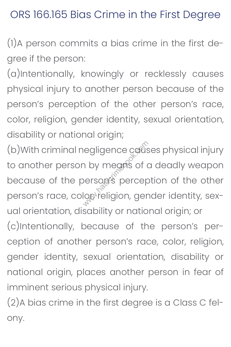#### ORS 166.165 Bias Crime in the First Degree

(1)A person commits a bias crime in the first degree if the person:

(a)Intentionally, knowingly or recklessly causes physical injury to another person because of the person's perception of the other person's race, color, religion, gender identity, sexual orientation, disability or national origin;

(b) With criminal negligence callses physical injury to another person by means of a deadly weapon because of the person<sup>es</sup> perception of the other person's race, color religion, gender identity, sexual orientation, disability or national origin; or egligence calus<br>n by means of a<br>berson's percep<br>los religion, ger

(c)Intentionally, because of the person's perception of another person's race, color, religion, gender identity, sexual orientation, disability or national origin, places another person in fear of imminent serious physical injury.

(2)A bias crime in the first degree is a Class C felony.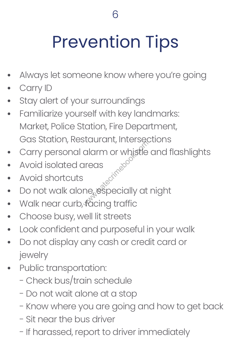# Prevention Tips

- Always let someone know where you're going
- Carry ID
- Stay alert of your surroundings
- Familiarize yourself with key landmarks: Market, Police Station, Fire Department, Gas Station, Restaurant, Intersections
- Carry personal alarm or whistle and flashlights tecrimebook
- Avoid isolated areas
- Avoid shortcuts
- Do not walk alone, especially at night
- Walk near curb, facing traffic
- Choose busy, well lit streets
- Look confident and purposeful in your walk
- Do not display any cash or credit card or jewelry
- Public transportation:
	- Check bus/train schedule
	- Do not wait alone at a stop
	- Know where you are going and how to get back
	- Sit near the bus driver
	- If harassed, report to driver immediately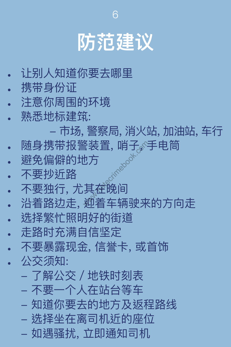# **防范建议**

6

- 让别人知道你要去哪里
- 携带身份证
- 注意你周围的环境
- 熟悉地标建筑:
	- 市场, 警察局, 消火站, 加油站, 车行
- • 避免偏僻的地方
- 不要抄近路
- 不要独行, 尤其在晚间
- 随身携带报警装置,哨子<sub>》</sub>夺电筒<br>避免偏僻的地方 。<sup>。。。</sup><br>不要抄近路 。<sup>。。。</sup><br>不要独行,尤其在晚间<br>沿着路边走,郑着车辆驶来的方向 沿着路边走, 迎着车辆驶来的方向走
- 选择繁忙照明好的街道
- 走路时充满自信坚定
- 不要暴露现金, 信誉卡, 或首饰
- 公交须知:
	- 了解公交/地铁时刻表
	- 不要一个人在站台等车
	- 知道你要去的地方及返程路线
	- 选择坐在离司机近的座位
	- 如遇骚扰, 立即通知司机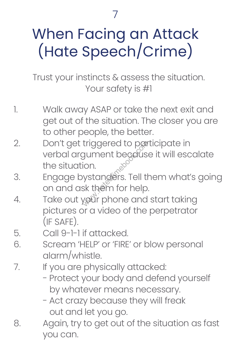### When Facing an Attack (Hate Speech/Crime)

Trust your instincts & assess the situation. Your safety is #1

- 1. Walk away ASAP or take the next exit and get out of the situation. The closer you are to other people, the better.
- 2. Don't get triggered to participate in verbal argument because it will escalate the situation. triggered to par<br>gument begdus<br>ion.<br>ystanders. Tell th<br>sk them for help.<br>your phone and
- 3. Engage bystanders. Tell them what's going on and ask them for help.
- 4. Take out your phone and start taking pictures or a video of the perpetrator (IF SAFE).
- 5. Call 9-1-1 if attacked.<br>6. Scream 'HELP' or 'FIRE
- 6. Scream 'HELP' or 'FIRE' or blow personal alarm/whistle.
- 7. If you are physically attacked:
	- Protect your body and defend yourself by whatever means necessary.
	- Act crazy because they will freak out and let you go.
- 8. Again, try to get out of the situation as fast you can.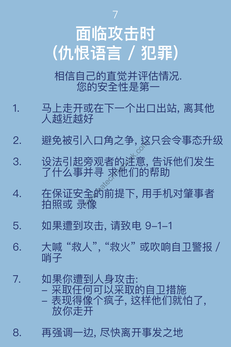### **面临攻击时 (仇恨语言 / 犯罪)** 7

相信自己的直觉并评估情况. 您的安全性是第一

- 1. 马上走开或在下一个出口出站, 离其他 人越近越好
- 2. 避免被引入口角之争, 这只会令事态升级
- 3. 设法引起旁观者的注意, 告诉他们发生 了什么事并寻 求他们的帮助 人口丹之子,必须<br>旁观者的注意,<br>并寻 求他们的<br>全的前提下,用
- 4. 在保证安全的前提下, 用手机对肇事者 拍照或 录像
- 5. 如果遭到攻击, 请致电 9-1-1
- 6. 大喊 "救人", "救火" 或吹响自卫警报/ 哨子
- 7. 如果你遭到人身攻击: - 采取任何可以采取的自卫措施 - 表现得像个疯子, 这样他们就怕了, 放你走开
- 8. 再强调一边, 尽快离开事发之地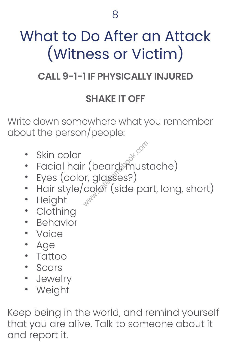### What to Do After an Attack (Witness or Victim)

#### **CALL 9-1-1 IF PHYSICALLY INJURED**

#### **SHAKE IT OFF**

Write down somewhere what you remember about the person/people:

- Skin color
- Facial hair (beard, mustache) w<sup>or<br>r (beard:must<br>icolor (side pa<br>color (side pa</sup>
- Eyes (color, glasses?)
- Hair style/color (side part, long, short) •
- Height
- Clothing
- Behavior
- Voice
- Age •
- Tattoo
- Scars
- Jewelry •
- Weight •

Keep being in the world, and remind yourself that you are alive. Talk to someone about it and report it.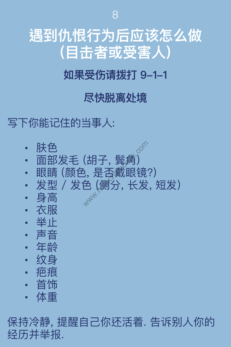### **遇到仇恨行为后应该怎么做 (目击者或受害人)**

#### **如果受伤请拨打 9-1-1**

#### **尽快脱离处境**

写下你能记住的当事人:

- 肤色 •
- 面部发毛 (胡子, 鬓角) •
- 眼睛 (颜色, 是否戴眼镜?) •
- 发型 / 发色 (侧分, 长发, 短发) • www*w.so<sup>of</sup><br>(胡子, 鬓<i>角*)<br>9.,是否戴眼镜<br>色 (娜分, 长发
- 身高 •
- 衣服 •
- 举止 •
- 声音 •
- 年龄 •
- 纹身 •
- 疤痕 首饰 •
- 体重 •

保持冷静, 提醒自己你还活着. 告诉别人你的 经历并举报.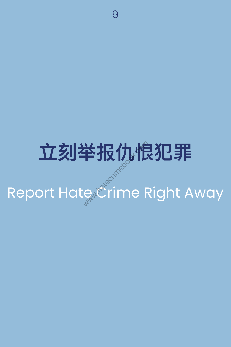# **立刻举报仇恨犯罪**

9

**立刻举报仇恨犯罪**<br>Report Hate Crime Right Away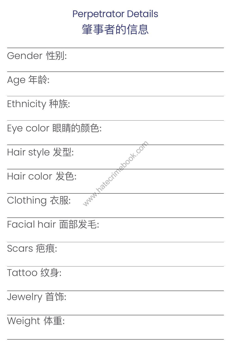#### Perpetrator Details 肇事者的信息

| Gender 性别:                              |
|-----------------------------------------|
| Age 年龄:                                 |
| Ethnicity 种族:                           |
| Eye color 眼睛的颜色:                        |
| Washington Management<br>Hair style 发型: |
| Hair color 发色:                          |
| Clothing 衣服:                            |
| Facial hair 面部发毛:                       |
| Scars 疤痕:                               |
| Tattoo 纹身:                              |
| Jewelry 首饰:                             |
| Weight 体重:                              |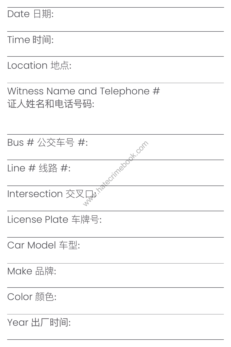Date 日期:

Time 时间:

Location 地点:

Witness Name and Telephone # 证人姓名和电话号码:

| Bus # 公交车号 #:                                                                                                                                                                                                                                                                                                                                                                                                                       |
|-------------------------------------------------------------------------------------------------------------------------------------------------------------------------------------------------------------------------------------------------------------------------------------------------------------------------------------------------------------------------------------------------------------------------------------|
| Thersection $\overline{\text{exp}^{\text{1}}\text{exp}^{\text{1}}\text{exp}^{\text{2}}\text{exp}^{\text{2}}\text{exp}^{\text{2}}\text{exp}^{\text{2}}\text{exp}^{\text{2}}\text{exp}^{\text{2}}\text{exp}^{\text{2}}\text{exp}^{\text{2}}\text{exp}^{\text{2}}\text{exp}^{\text{2}}\text{exp}^{\text{2}}\text{exp}^{\text{2}}\text{exp}^{\text{2}}\text{exp}^{\text{2}}\text{exp}^{\text{2}}\text{exp}^{\text{2}}\text{exp}^{\text$ |
|                                                                                                                                                                                                                                                                                                                                                                                                                                     |
|                                                                                                                                                                                                                                                                                                                                                                                                                                     |
| Car Model 车型:                                                                                                                                                                                                                                                                                                                                                                                                                       |
| Make 品牌:                                                                                                                                                                                                                                                                                                                                                                                                                            |
| Color 颜色:                                                                                                                                                                                                                                                                                                                                                                                                                           |
| Year 出厂时间:                                                                                                                                                                                                                                                                                                                                                                                                                          |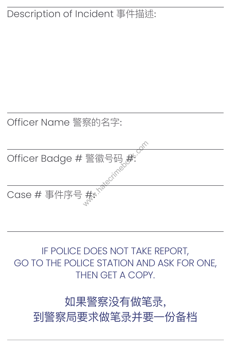#### Description of Incident 事件描述:



#### IF POLICE DOES NOT TAKE REPORT, GO TO THE POLICE STATION AND ASK FOR ONE, THEN GET A COPY.

#### 如果警察没有做笔录, 到警察局要求做笔录并要一份备档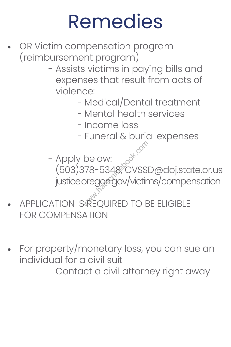# Remedies

- OR Victim compensation program (reimbursement program) •
	- Assists victims in paying bills and expenses that result from acts of violence:
		- Medical/Dental treatment
		- Mental health services
		- Income loss
		- Funeral & burial expenses

- Apply below: (503)378-5348, CVSSD@doj.state.or.us justice.oregon.gov/victims/compensation below:<br>178-5348, CVSS<br>pregon.gov/victin<br>NEOUIRED TO E

- APPLICATION IS REQUIRED TO BE ELIGIBLE FOR COMPENSATION •
- For property/monetary loss, you can sue an individual for a civil suit •

- Contact a civil attorney right away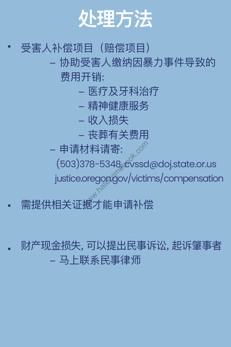

- 受害人补偿项目(赔偿项目) •
	- 协助受害人缴纳因暴力事件导致的 费用开销:
		- 医疗及牙科治疗
		- 精神健康服务
		- 收入损失
		- 丧葬有关费用

- 申请材料请寄: (503)378-5348, cvssd@doj.state.or.us justice.oregon.gov/victims/compensation オ料请寄:<br>378-5348 evssd<br>oregon.gov/victir<br><sub>、、、</sub>、、<br>梶才能由请补4

- 需提供相关证据才能申请补偿 •
- 财产现金损失, 可以提出民事诉讼, 起诉肇事者 - 马上联系民事律师 •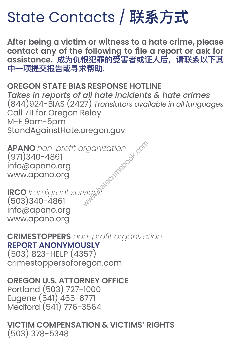### State Contacts / **联系方式**

**After being a victim or witness to a hate crime, please contact any of the following to file a report or ask for assistance. 成为仇恨犯罪的受害者或证人后, 请联系以下其 中一项提交报告或寻求帮助.**

#### **OREGON STATE BIAS RESPONSE HOTLINE**  *Takes in reports of all hate incidents & hate crimes* (844)924-BIAS (2427) *Translators available in all languages* Call 711 for Oregon Relay M-F 9am-5pm StandAgainstHate.oregon.gov

**APANO** *non-profit organization* (971)340-4861 info@apano.org www.apano.org rganization Loft

**IRCO** *Immigrant services* (503)340-4861 info@apano.org www.apano.org

**CRIMESTOPPERS** *non-profit organization* **REPORT ANONYMOUSLY**

(503) 823-HELP (4357) crimestoppersoforegon.com

**OREGON U.S. ATTORNEY OFFICE**

Portland (503) 727-1000 Eugene (541) 465-6771 Medford (541) 776-3564

#### **VICTIM COMPENSATION & VICTIMS' RIGHTS** (503) 378-5348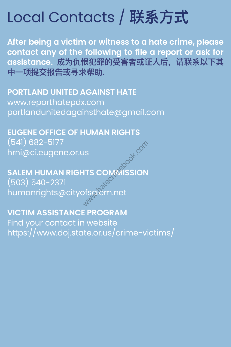### Local Contacts / **联系方式**

**After being a victim or witness to a hate crime, please contact any of the following to file a report or ask for assistance. 成为仇恨犯罪的受害者或证人后, 请联系以下其 中一项提交报告或寻求帮助.**

**PORTLAND UNITED AGAINST HATE**  www.reporthatepdx.com

portlandunitedagainsthate@gmail.com

**EUGENE OFFICE OF HUMAN RIGHTS**

(541) 682-5177 hrni@ci.eugene.or.us

#### **SALEM HUMAN RIGHTS COMMISSION**

(503) 540-2371 humanrights@cityofsalem.net www.hatecom<br>**hatecripedia composition**<br>Internet

**VICTIM ASSISTANCE PROGRAM**

Find your contact in website https://www.doj.state.or.us/crime-victims/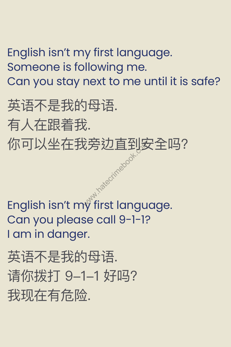English isn't my first language. Someone is following me. Can you stay next to me until it is safe?

英语不是我的母语. 有人在跟着我. 你可以坐在我旁边直到安全吗? w.hatecrimebook

English isn't my first language. Can you please call 9-1-1? I am in danger.

英语不是我的母语. 请你拨打 9-1-1 好吗? 我现在有危险.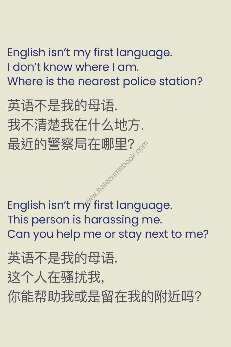English isn't my first language. I don't know where I am. Where is the nearest police station?

英语不是我的母语. 我不清楚我在什么地方. 最近的警察局在哪里? w.hatecrimebook.com

English isn't my first language. This person is harassing me. Can you help me or stay next to me?

英语不是我的母语. 这个人在骚扰我, 你能帮助我或是留在我的附近吗?